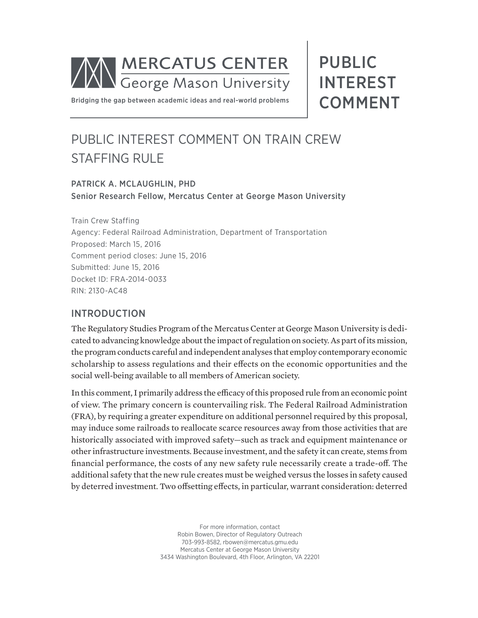

PUBLIC INTEREST COMMENT

Bridging the gap between academic ideas and real-world problems

# PUBLIC INTEREST COMMENT ON TRAIN CREW STAFFING RULE

#### PATRICK A. MCLAUGHLIN, PHD Senior Research Fellow, Mercatus Center at George Mason University

Train Crew Staffing Agency: Federal Railroad Administration, Department of Transportation Proposed: March 15, 2016 Comment period closes: June 15, 2016 Submitted: June 15, 2016 Docket ID: FRA-2014-0033 RIN: 2130-AC48

#### INTRODUCTION

The Regulatory Studies Program of the Mercatus Center at George Mason University is dedicated to advancing knowledge about the impact of regulation on society. As part of its mission, the program conducts careful and independent analyses that employ contemporary economic scholarship to assess regulations and their effects on the economic opportunities and the social well-being available to all members of American society.

In this comment, I primarily address the efficacy of this proposed rule from an economic point of view. The primary concern is countervailing risk. The Federal Railroad Administration (FRA), by requiring a greater expenditure on additional personnel required by this proposal, may induce some railroads to reallocate scarce resources away from those activities that are historically associated with improved safety—such as track and equipment maintenance or other infrastructure investments. Because investment, and the safety it can create, stems from financial performance, the costs of any new safety rule necessarily create a trade-off. The additional safety that the new rule creates must be weighed versus the losses in safety caused by deterred investment. Two offsetting effects, in particular, warrant consideration: deterred

> For more information, contact Robin Bowen, Director of Regulatory Outreach 703-993-8582, rbowen@mercatus.gmu.edu Mercatus Center at George Mason University 3434 Washington Boulevard, 4th Floor, Arlington, VA 22201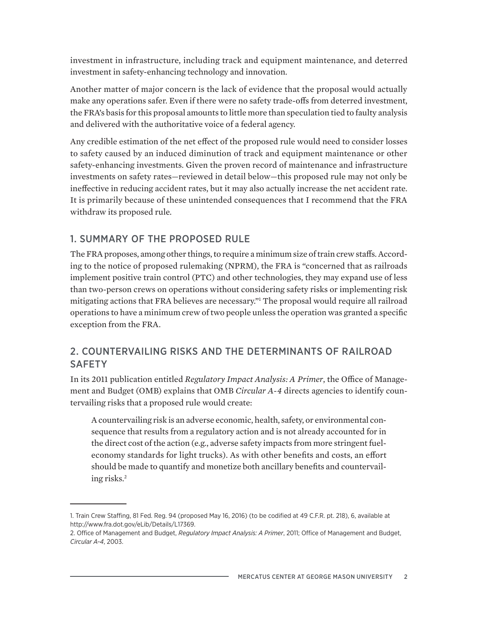investment in infrastructure, including track and equipment maintenance, and deterred investment in safety-enhancing technology and innovation.

Another matter of major concern is the lack of evidence that the proposal would actually make any operations safer. Even if there were no safety trade-offs from deterred investment, the FRA's basis for this proposal amounts to little more than speculation tied to faulty analysis and delivered with the authoritative voice of a federal agency.

Any credible estimation of the net effect of the proposed rule would need to consider losses to safety caused by an induced diminution of track and equipment maintenance or other safety-enhancing investments. Given the proven record of maintenance and infrastructure investments on safety rates—reviewed in detail below—this proposed rule may not only be ineffective in reducing accident rates, but it may also actually increase the net accident rate. It is primarily because of these unintended consequences that I recommend that the FRA withdraw its proposed rule.

### 1. SUMMARY OF THE PROPOSED RULE

The FRA proposes, among other things, to require a minimum size of train crew staffs. According to the notice of proposed rulemaking (NPRM), the FRA is "concerned that as railroads implement positive train control (PTC) and other technologies, they may expand use of less than two-person crews on operations without considering safety risks or implementing risk mitigating actions that FRA believes are necessary."1 The proposal would require all railroad operations to have a minimum crew of two people unless the operation was granted a specific exception from the FRA.

### 2. COUNTERVAILING RISKS AND THE DETERMINANTS OF RAILROAD **SAFETY**

In its 2011 publication entitled *Regulatory Impact Analysis: A Primer*, the Office of Management and Budget (OMB) explains that OMB *Circular A-4* directs agencies to identify countervailing risks that a proposed rule would create:

A countervailing risk is an adverse economic, health, safety, or environmental consequence that results from a regulatory action and is not already accounted for in the direct cost of the action (e.g., adverse safety impacts from more stringent fueleconomy standards for light trucks). As with other benefits and costs, an effort should be made to quantify and monetize both ancillary benefits and countervailing risks.2

<sup>1.</sup> Train Crew Staffing, 81 Fed. Reg. 94 (proposed May 16, 2016) (to be codified at 49 C.F.R. pt. 218), 6, available at http://www.fra.dot.gov/eLib/Details/L17369.

<sup>2.</sup> Office of Management and Budget, *Regulatory Impact Analysis: A Primer*, 2011; Office of Management and Budget, *Circular A-4*, 2003.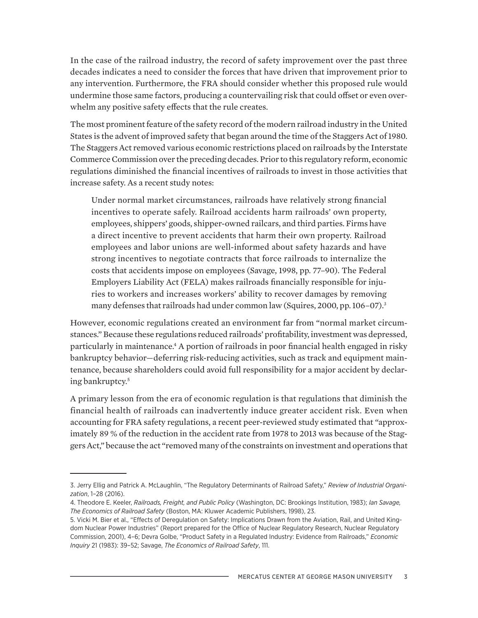In the case of the railroad industry, the record of safety improvement over the past three decades indicates a need to consider the forces that have driven that improvement prior to any intervention. Furthermore, the FRA should consider whether this proposed rule would undermine those same factors, producing a countervailing risk that could offset or even overwhelm any positive safety effects that the rule creates.

The most prominent feature of the safety record of the modern railroad industry in the United States is the advent of improved safety that began around the time of the Staggers Act of 1980. The Staggers Act removed various economic restrictions placed on railroads by the Interstate Commerce Commission over the preceding decades. Prior to this regulatory reform, economic regulations diminished the financial incentives of railroads to invest in those activities that increase safety. As a recent study notes:

Under normal market circumstances, railroads have relatively strong financial incentives to operate safely. Railroad accidents harm railroads' own property, employees, shippers' goods, shipper-owned railcars, and third parties. Firms have a direct incentive to prevent accidents that harm their own property. Railroad employees and labor unions are well-informed about safety hazards and have strong incentives to negotiate contracts that force railroads to internalize the costs that accidents impose on employees (Savage, 1998, pp. 77–90). The Federal Employers Liability Act (FELA) makes railroads financially responsible for injuries to workers and increases workers' ability to recover damages by removing many defenses that railroads had under common law (Squires, 2000, pp. 106-07).<sup>3</sup>

However, economic regulations created an environment far from "normal market circumstances." Because these regulations reduced railroads' profitability, investment was depressed, particularly in maintenance.<sup>4</sup> A portion of railroads in poor financial health engaged in risky bankruptcy behavior—deferring risk-reducing activities, such as track and equipment maintenance, because shareholders could avoid full responsibility for a major accident by declaring bankruptcy.<sup>5</sup>

A primary lesson from the era of economic regulation is that regulations that diminish the financial health of railroads can inadvertently induce greater accident risk. Even when accounting for FRA safety regulations, a recent peer-reviewed study estimated that "approximately 89 % of the reduction in the accident rate from 1978 to 2013 was because of the Staggers Act," because the act "removed many of the constraints on investment and operations that

<sup>3.</sup> Jerry Ellig and Patrick A. McLaughlin, "The Regulatory Determinants of Railroad Safety," *Review of Industrial Organization*, 1–28 (2016).

<sup>4.</sup> Theodore E. Keeler, *Railroads, Freight, and Public Policy* (Washington, DC: Brookings Institution, 1983); *Ian Savage, The Economics of Railroad Safety* (Boston, MA: Kluwer Academic Publishers, 1998), 23.

<sup>5.</sup> Vicki M. Bier et al., "Effects of Deregulation on Safety: Implications Drawn from the Aviation, Rail, and United Kingdom Nuclear Power Industries" (Report prepared for the Office of Nuclear Regulatory Research, Nuclear Regulatory Commission, 2001), 4–6; Devra Golbe, "Product Safety in a Regulated Industry: Evidence from Railroads," *Economic Inquiry* 21 (1983): 39–52; Savage, *The Economics of Railroad Safety*, 111.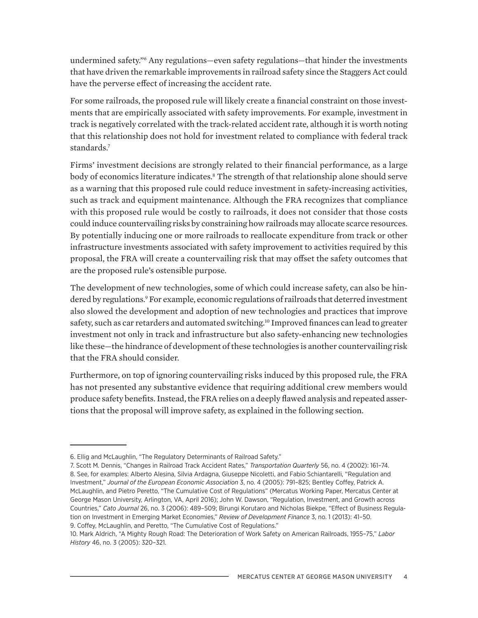undermined safety."6 Any regulations—even safety regulations—that hinder the investments that have driven the remarkable improvements in railroad safety since the Staggers Act could have the perverse effect of increasing the accident rate.

For some railroads, the proposed rule will likely create a financial constraint on those investments that are empirically associated with safety improvements. For example, investment in track is negatively correlated with the track-related accident rate, although it is worth noting that this relationship does not hold for investment related to compliance with federal track standards.7

Firms' investment decisions are strongly related to their financial performance, as a large body of economics literature indicates.<sup>8</sup> The strength of that relationship alone should serve as a warning that this proposed rule could reduce investment in safety-increasing activities, such as track and equipment maintenance. Although the FRA recognizes that compliance with this proposed rule would be costly to railroads, it does not consider that those costs could induce countervailing risks by constraining how railroads may allocate scarce resources. By potentially inducing one or more railroads to reallocate expenditure from track or other infrastructure investments associated with safety improvement to activities required by this proposal, the FRA will create a countervailing risk that may offset the safety outcomes that are the proposed rule's ostensible purpose.

The development of new technologies, some of which could increase safety, can also be hindered by regulations.<sup>9</sup> For example, economic regulations of railroads that deterred investment also slowed the development and adoption of new technologies and practices that improve safety, such as car retarders and automated switching.<sup>10</sup> Improved finances can lead to greater investment not only in track and infrastructure but also safety-enhancing new technologies like these—the hindrance of development of these technologies is another countervailing risk that the FRA should consider.

Furthermore, on top of ignoring countervailing risks induced by this proposed rule, the FRA has not presented any substantive evidence that requiring additional crew members would produce safety benefits. Instead, the FRA relies on a deeply flawed analysis and repeated assertions that the proposal will improve safety, as explained in the following section.

<sup>6.</sup> Ellig and McLaughlin, "The Regulatory Determinants of Railroad Safety."

<sup>7.</sup> Scott M. Dennis, "Changes in Railroad Track Accident Rates," *Transportation Quarterly* 56, no. 4 (2002): 161–74. 8. See, for examples: Alberto Alesina, Silvia Ardagna, Giuseppe Nicoletti, and Fabio Schiantarelli, "Regulation and Investment," *Journal of the European Economic Association* 3, no. 4 (2005): 791–825; Bentley Coffey, Patrick A. McLaughlin, and Pietro Peretto, "The Cumulative Cost of Regulations" (Mercatus Working Paper, Mercatus Center at George Mason University, Arlington, VA, April 2016); John W. Dawson, "Regulation, Investment, and Growth across Countries," *Cato Journal* 26, no. 3 (2006): 489–509; Birungi Korutaro and Nicholas Biekpe, "Effect of Business Regulation on Investment in Emerging Market Economies," *Review of Development Finance* 3, no. 1 (2013): 41–50. 9. Coffey, McLaughlin, and Peretto, "The Cumulative Cost of Regulations."

<sup>10.</sup> Mark Aldrich, "A Mighty Rough Road: The Deterioration of Work Safety on American Railroads, 1955–75," *Labor History* 46, no. 3 (2005): 320–321.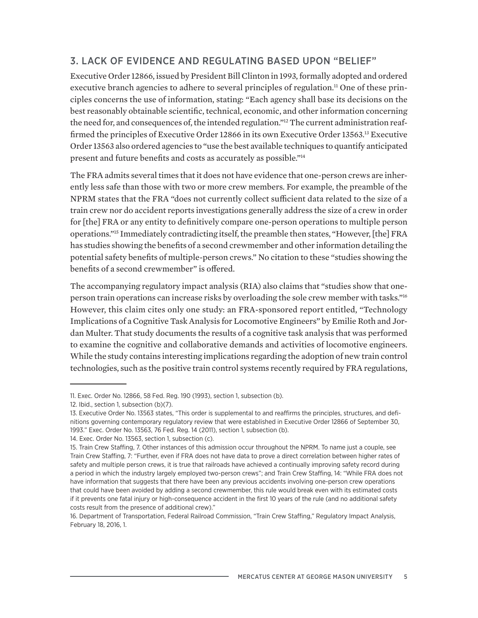## 3. LACK OF EVIDENCE AND REGULATING BASED UPON "BELIEF"

Executive Order 12866, issued by President Bill Clinton in 1993, formally adopted and ordered executive branch agencies to adhere to several principles of regulation.<sup>11</sup> One of these principles concerns the use of information, stating: "Each agency shall base its decisions on the best reasonably obtainable scientific, technical, economic, and other information concerning the need for, and consequences of, the intended regulation."12 The current administration reaffirmed the principles of Executive Order 12866 in its own Executive Order 13563.13 Executive Order 13563 also ordered agencies to "use the best available techniques to quantify anticipated present and future benefits and costs as accurately as possible."14

The FRA admits several times that it does not have evidence that one-person crews are inherently less safe than those with two or more crew members. For example, the preamble of the NPRM states that the FRA "does not currently collect sufficient data related to the size of a train crew nor do accident reports investigations generally address the size of a crew in order for [the] FRA or any entity to definitively compare one-person operations to multiple person operations."15 Immediately contradicting itself, the preamble then states, "However, [the] FRA has studies showing the benefits of a second crewmember and other information detailing the potential safety benefits of multiple-person crews." No citation to these "studies showing the benefits of a second crewmember" is offered.

The accompanying regulatory impact analysis (RIA) also claims that "studies show that oneperson train operations can increase risks by overloading the sole crew member with tasks."16 However, this claim cites only one study: an FRA-sponsored report entitled, "Technology Implications of a Cognitive Task Analysis for Locomotive Engineers" by Emilie Roth and Jordan Multer. That study documents the results of a cognitive task analysis that was performed to examine the cognitive and collaborative demands and activities of locomotive engineers. While the study contains interesting implications regarding the adoption of new train control technologies, such as the positive train control systems recently required by FRA regulations,

14. Exec. Order No. 13563, section 1, subsection (c).

<sup>11.</sup> Exec. Order No. 12866, 58 Fed. Reg. 190 (1993), section 1, subsection (b).

<sup>12.</sup> Ibid., section 1, subsection (b)(7).

<sup>13.</sup> Executive Order No. 13563 states, "This order is supplemental to and reaffirms the principles, structures, and definitions governing contemporary regulatory review that were established in Executive Order 12866 of September 30, 1993." Exec. Order No. 13563, 76 Fed. Reg. 14 (2011), section 1, subsection (b).

<sup>15.</sup> Train Crew Staffing, 7. Other instances of this admission occur throughout the NPRM. To name just a couple, see Train Crew Staffing, 7: "Further, even if FRA does not have data to prove a direct correlation between higher rates of safety and multiple person crews, it is true that railroads have achieved a continually improving safety record during a period in which the industry largely employed two-person crews"; and Train Crew Staffing, 14: "While FRA does not have information that suggests that there have been any previous accidents involving one-person crew operations that could have been avoided by adding a second crewmember, this rule would break even with its estimated costs if it prevents one fatal injury or high-consequence accident in the first 10 years of the rule (and no additional safety costs result from the presence of additional crew)."

<sup>16.</sup> Department of Transportation, Federal Railroad Commission, "Train Crew Staffing," Regulatory Impact Analysis, February 18, 2016, 1.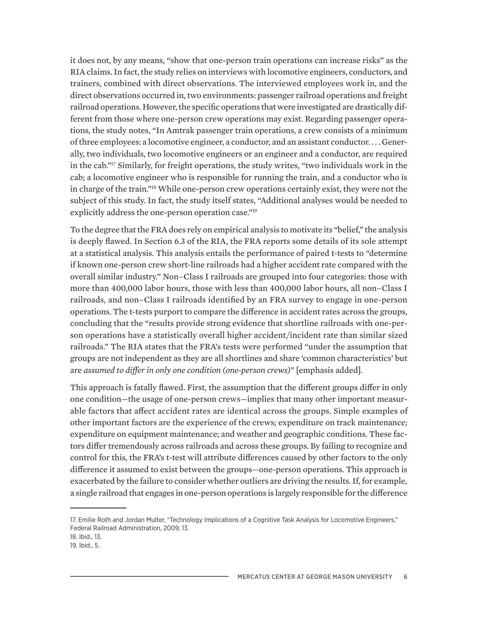it does not, by any means, "show that one-person train operations can increase risks" as the RIA claims. In fact, the study relies on interviews with locomotive engineers, conductors, and trainers, combined with direct observations. The interviewed employees work in, and the direct observations occurred in, two environments: passenger railroad operations and freight railroad operations. However, the specific operations that were investigated are drastically different from those where one-person crew operations may exist. Regarding passenger operations, the study notes, "In Amtrak passenger train operations, a crew consists of a minimum of three employees: a locomotive engineer, a conductor, and an assistant conductor. . . . Generally, two individuals, two locomotive engineers or an engineer and a conductor, are required in the cab."17 Similarly, for freight operations, the study writes, "two individuals work in the cab; a locomotive engineer who is responsible for running the train, and a conductor who is in charge of the train."18 While one-person crew operations certainly exist, they were not the subject of this study. In fact, the study itself states, "Additional analyses would be needed to explicitly address the one-person operation case."<sup>19</sup>

To the degree that the FRA does rely on empirical analysis to motivate its "belief," the analysis is deeply flawed. In Section 6.3 of the RIA, the FRA reports some details of its sole attempt at a statistical analysis. This analysis entails the performance of paired t-tests to "determine if known one-person crew short-line railroads had a higher accident rate compared with the overall similar industry." Non–Class I railroads are grouped into four categories: those with more than 400,000 labor hours, those with less than 400,000 labor hours, all non–Class I railroads, and non–Class I railroads identified by an FRA survey to engage in one-person operations. The t-tests purport to compare the difference in accident rates across the groups, concluding that the "results provide strong evidence that shortline railroads with one-person operations have a statistically overall higher accident/incident rate than similar sized railroads." The RIA states that the FRA's tests were performed "under the assumption that groups are not independent as they are all shortlines and share 'common characteristics' but are *assumed to differ in only one condition (one-person crews)*" [emphasis added].

This approach is fatally flawed. First, the assumption that the different groups differ in only one condition—the usage of one-person crews—implies that many other important measurable factors that affect accident rates are identical across the groups. Simple examples of other important factors are the experience of the crews; expenditure on track maintenance; expenditure on equipment maintenance; and weather and geographic conditions. These factors differ tremendously across railroads and across these groups. By failing to recognize and control for this, the FRA's t-test will attribute differences caused by other factors to the only difference it assumed to exist between the groups—one-person operations. This approach is exacerbated by the failure to consider whether outliers are driving the results. If, for example, a single railroad that engages in one-person operations is largely responsible for the difference

<sup>17.</sup> Emilie Roth and Jordan Multer, "Technology Implications of a Cognitive Task Analysis for Locomotive Engineers," Federal Railroad Administration, 2009, 13.

<sup>18.</sup> Ibid., 13.

<sup>19.</sup> Ibid., 5.